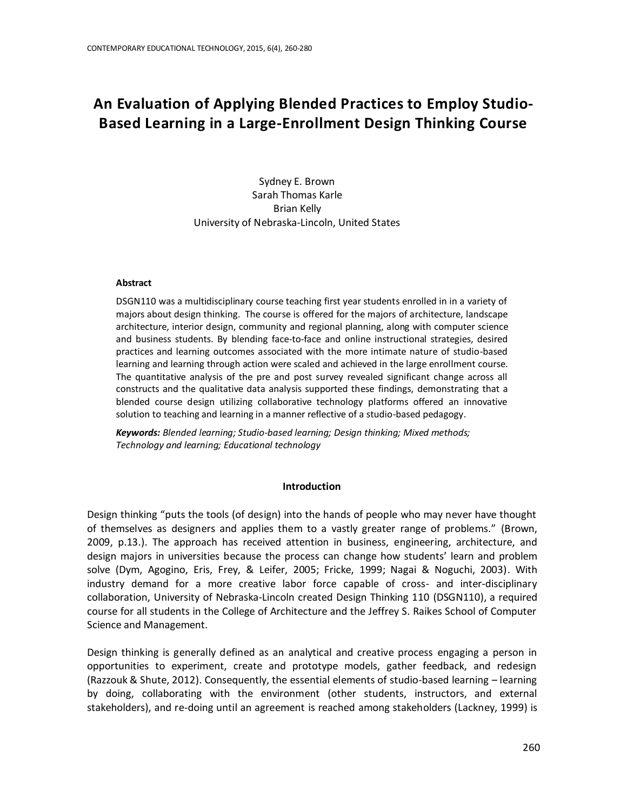# **An Evaluation of Applying Blended Practices to Employ Studio-Based Learning in a Large-Enrollment Design Thinking Course**

Sydney E. Brown Sarah Thomas Karle Brian Kelly University of Nebraska-Lincoln, United States

#### **Abstract**

DSGN110 was a multidisciplinary course teaching first year students enrolled in in a variety of majors about design thinking. The course is offered for the majors of architecture, landscape architecture, interior design, community and regional planning, along with computer science and business students. By blending face-to-face and online instructional strategies, desired practices and learning outcomes associated with the more intimate nature of studio-based learning and learning through action were scaled and achieved in the large enrollment course. The quantitative analysis of the pre and post survey revealed significant change across all constructs and the qualitative data analysis supported these findings, demonstrating that a blended course design utilizing collaborative technology platforms offered an innovative solution to teaching and learning in a manner reflective of a studio-based pedagogy.

*Keywords: Blended learning; Studio-based learning; Design thinking; Mixed methods; Technology and learning; Educational technology*

#### **Introduction**

Design thinking "puts the tools (of design) into the hands of people who may never have thought of themselves as designers and applies them to a vastly greater range of problems." (Brown, 2009, p.13.). The approach has received attention in business, engineering, architecture, and design majors in universities because the process can change how students' learn and problem solve (Dym, Agogino, Eris, Frey, & Leifer, 2005; Fricke, 1999; Nagai & Noguchi, 2003). With industry demand for a more creative labor force capable of cross- and inter-disciplinary collaboration, University of Nebraska-Lincoln created Design Thinking 110 (DSGN110), a required course for all students in the College of Architecture and the Jeffrey S. Raikes School of Computer Science and Management.

Design thinking is generally defined as an analytical and creative process engaging a person in opportunities to experiment, create and prototype models, gather feedback, and redesign (Razzouk & Shute, 2012). Consequently, the essential elements of studio-based learning – learning by doing, collaborating with the environment (other students, instructors, and external stakeholders), and re-doing until an agreement is reached among stakeholders (Lackney, 1999) is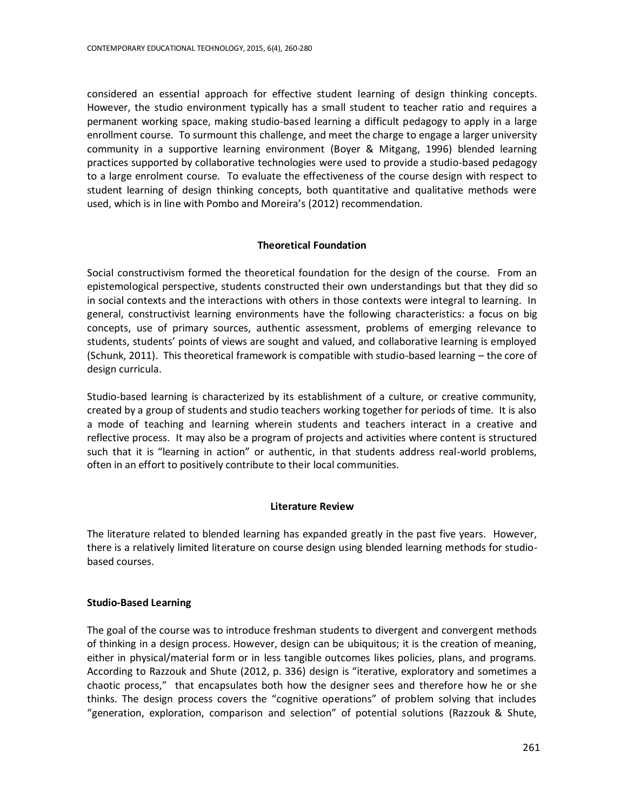considered an essential approach for effective student learning of design thinking concepts. However, the studio environment typically has a small student to teacher ratio and requires a permanent working space, making studio-based learning a difficult pedagogy to apply in a large enrollment course. To surmount this challenge, and meet the charge to engage a larger university community in a supportive learning environment (Boyer & Mitgang, 1996) blended learning practices supported by collaborative technologies were used to provide a studio-based pedagogy to a large enrolment course. To evaluate the effectiveness of the course design with respect to student learning of design thinking concepts, both quantitative and qualitative methods were used, which is in line with Pombo and Moreira's (2012) recommendation.

# **Theoretical Foundation**

Social constructivism formed the theoretical foundation for the design of the course. From an epistemological perspective, students constructed their own understandings but that they did so in social contexts and the interactions with others in those contexts were integral to learning. In general, constructivist learning environments have the following characteristics: a focus on big concepts, use of primary sources, authentic assessment, problems of emerging relevance to students, students' points of views are sought and valued, and collaborative learning is employed (Schunk, 2011). This theoretical framework is compatible with studio-based learning – the core of design curricula.

Studio-based learning is characterized by its establishment of a culture, or creative community, created by a group of students and studio teachers working together for periods of time. It is also a mode of teaching and learning wherein students and teachers interact in a creative and reflective process. It may also be a program of projects and activities where content is structured such that it is "learning in action" or authentic, in that students address real-world problems, often in an effort to positively contribute to their local communities.

# **Literature Review**

The literature related to blended learning has expanded greatly in the past five years. However, there is a relatively limited literature on course design using blended learning methods for studiobased courses.

# **Studio-Based Learning**

The goal of the course was to introduce freshman students to divergent and convergent methods of thinking in a design process. However, design can be ubiquitous; it is the creation of meaning, either in physical/material form or in less tangible outcomes likes policies, plans, and programs. According to Razzouk and Shute (2012, p. 336) design is "iterative, exploratory and sometimes a chaotic process," that encapsulates both how the designer sees and therefore how he or she thinks. The design process covers the "cognitive operations" of problem solving that includes "generation, exploration, comparison and selection" of potential solutions (Razzouk & Shute,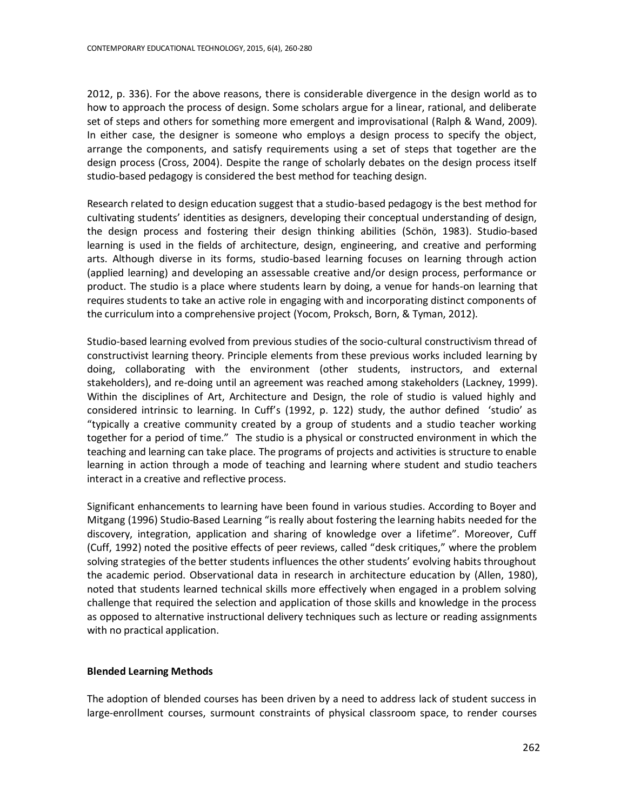2012, p. 336). For the above reasons, there is considerable divergence in the design world as to how to approach the process of design. Some scholars argue for a linear, rational, and deliberate set of steps and others for something more emergent and improvisational (Ralph & Wand, 2009). In either case, the designer is someone who employs a design process to specify the object, arrange the components, and satisfy requirements using a set of steps that together are the design process (Cross, 2004). Despite the range of scholarly debates on the design process itself studio-based pedagogy is considered the best method for teaching design.

Research related to design education suggest that a studio-based pedagogy is the best method for cultivating students' identities as designers, developing their conceptual understanding of design, the design process and fostering their design thinking abilities (Schön, 1983). Studio-based learning is used in the fields of architecture, design, engineering, and creative and performing arts. Although diverse in its forms, studio-based learning focuses on learning through action (applied learning) and developing an assessable creative and/or design process, performance or product. The studio is a place where students learn by doing, a venue for hands-on learning that requires students to take an active role in engaging with and incorporating distinct components of the curriculum into a comprehensive project (Yocom, Proksch, Born, & Tyman, 2012).

Studio-based learning evolved from previous studies of the socio-cultural constructivism thread of constructivist learning theory. Principle elements from these previous works included learning by doing, collaborating with the environment (other students, instructors, and external stakeholders), and re-doing until an agreement was reached among stakeholders (Lackney, 1999). Within the disciplines of Art, Architecture and Design, the role of studio is valued highly and considered intrinsic to learning. In Cuff's (1992, p. 122) study, the author defined 'studio' as "typically a creative community created by a group of students and a studio teacher working together for a period of time." The studio is a physical or constructed environment in which the teaching and learning can take place. The programs of projects and activities is structure to enable learning in action through a mode of teaching and learning where student and studio teachers interact in a creative and reflective process.

Significant enhancements to learning have been found in various studies. According to Boyer and Mitgang (1996) Studio-Based Learning "is really about fostering the learning habits needed for the discovery, integration, application and sharing of knowledge over a lifetime". Moreover, Cuff (Cuff, 1992) noted the positive effects of peer reviews, called "desk critiques," where the problem solving strategies of the better students influences the other students' evolving habits throughout the academic period. Observational data in research in architecture education by (Allen, 1980), noted that students learned technical skills more effectively when engaged in a problem solving challenge that required the selection and application of those skills and knowledge in the process as opposed to alternative instructional delivery techniques such as lecture or reading assignments with no practical application.

## **Blended Learning Methods**

The adoption of blended courses has been driven by a need to address lack of student success in large-enrollment courses, surmount constraints of physical classroom space, to render courses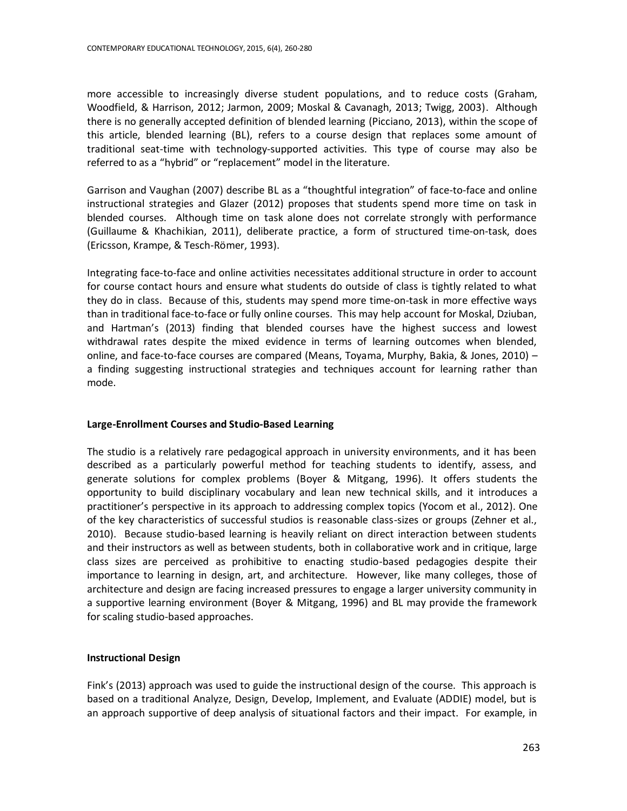more accessible to increasingly diverse student populations, and to reduce costs (Graham, Woodfield, & Harrison, 2012; Jarmon, 2009; Moskal & Cavanagh, 2013; Twigg, 2003). Although there is no generally accepted definition of blended learning (Picciano, 2013), within the scope of this article, blended learning (BL), refers to a course design that replaces some amount of traditional seat-time with technology-supported activities. This type of course may also be referred to as a "hybrid" or "replacement" model in the literature.

Garrison and Vaughan (2007) describe BL as a "thoughtful integration" of face-to-face and online instructional strategies and Glazer (2012) proposes that students spend more time on task in blended courses. Although time on task alone does not correlate strongly with performance (Guillaume & Khachikian, 2011), deliberate practice, a form of structured time-on-task, does (Ericsson, Krampe, & Tesch-Römer, 1993).

Integrating face-to-face and online activities necessitates additional structure in order to account for course contact hours and ensure what students do outside of class is tightly related to what they do in class. Because of this, students may spend more time-on-task in more effective ways than in traditional face-to-face or fully online courses. This may help account for Moskal, Dziuban, and Hartman's (2013) finding that blended courses have the highest success and lowest withdrawal rates despite the mixed evidence in terms of learning outcomes when blended, online, and face-to-face courses are compared (Means, Toyama, Murphy, Bakia, & Jones, 2010) – a finding suggesting instructional strategies and techniques account for learning rather than mode.

## **Large-Enrollment Courses and Studio-Based Learning**

The studio is a relatively rare pedagogical approach in university environments, and it has been described as a particularly powerful method for teaching students to identify, assess, and generate solutions for complex problems (Boyer & Mitgang, 1996). It offers students the opportunity to build disciplinary vocabulary and lean new technical skills, and it introduces a practitioner's perspective in its approach to addressing complex topics (Yocom et al., 2012). One of the key characteristics of successful studios is reasonable class-sizes or groups (Zehner et al., 2010). Because studio-based learning is heavily reliant on direct interaction between students and their instructors as well as between students, both in collaborative work and in critique, large class sizes are perceived as prohibitive to enacting studio-based pedagogies despite their importance to learning in design, art, and architecture. However, like many colleges, those of architecture and design are facing increased pressures to engage a larger university community in a supportive learning environment (Boyer & Mitgang, 1996) and BL may provide the framework for scaling studio-based approaches.

## **Instructional Design**

Fink's (2013) approach was used to guide the instructional design of the course. This approach is based on a traditional Analyze, Design, Develop, Implement, and Evaluate (ADDIE) model, but is an approach supportive of deep analysis of situational factors and their impact. For example, in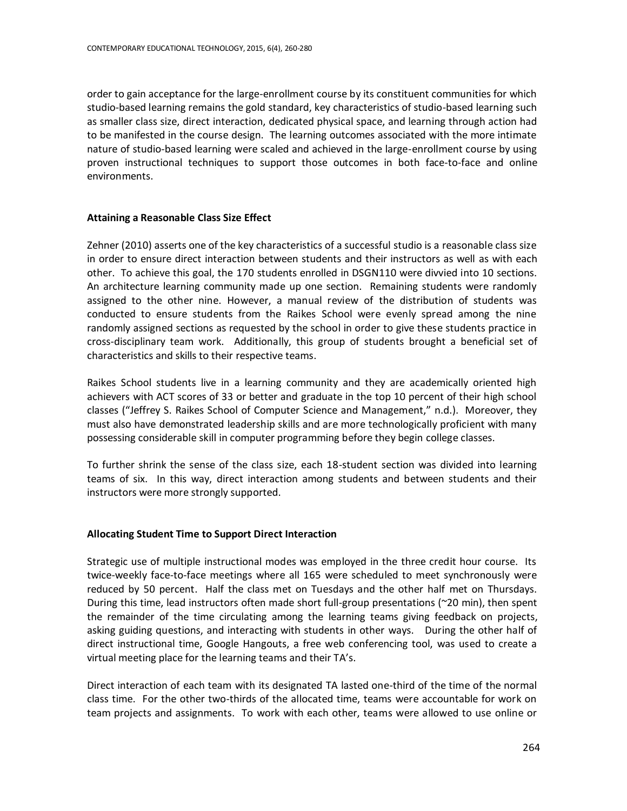order to gain acceptance for the large-enrollment course by its constituent communities for which studio-based learning remains the gold standard, key characteristics of studio-based learning such as smaller class size, direct interaction, dedicated physical space, and learning through action had to be manifested in the course design. The learning outcomes associated with the more intimate nature of studio-based learning were scaled and achieved in the large-enrollment course by using proven instructional techniques to support those outcomes in both face-to-face and online environments.

## **Attaining a Reasonable Class Size Effect**

Zehner (2010) asserts one of the key characteristics of a successful studio is a reasonable class size in order to ensure direct interaction between students and their instructors as well as with each other. To achieve this goal, the 170 students enrolled in DSGN110 were divvied into 10 sections. An architecture learning community made up one section. Remaining students were randomly assigned to the other nine. However, a manual review of the distribution of students was conducted to ensure students from the Raikes School were evenly spread among the nine randomly assigned sections as requested by the school in order to give these students practice in cross-disciplinary team work. Additionally, this group of students brought a beneficial set of characteristics and skills to their respective teams.

Raikes School students live in a learning community and they are academically oriented high achievers with ACT scores of 33 or better and graduate in the top 10 percent of their high school classes ("Jeffrey S. Raikes School of Computer Science and Management," n.d.). Moreover, they must also have demonstrated leadership skills and are more technologically proficient with many possessing considerable skill in computer programming before they begin college classes.

To further shrink the sense of the class size, each 18-student section was divided into learning teams of six. In this way, direct interaction among students and between students and their instructors were more strongly supported.

## **Allocating Student Time to Support Direct Interaction**

Strategic use of multiple instructional modes was employed in the three credit hour course. Its twice-weekly face-to-face meetings where all 165 were scheduled to meet synchronously were reduced by 50 percent. Half the class met on Tuesdays and the other half met on Thursdays. During this time, lead instructors often made short full-group presentations (~20 min), then spent the remainder of the time circulating among the learning teams giving feedback on projects, asking guiding questions, and interacting with students in other ways. During the other half of direct instructional time, Google Hangouts, a free web conferencing tool, was used to create a virtual meeting place for the learning teams and their TA's.

Direct interaction of each team with its designated TA lasted one-third of the time of the normal class time. For the other two-thirds of the allocated time, teams were accountable for work on team projects and assignments. To work with each other, teams were allowed to use online or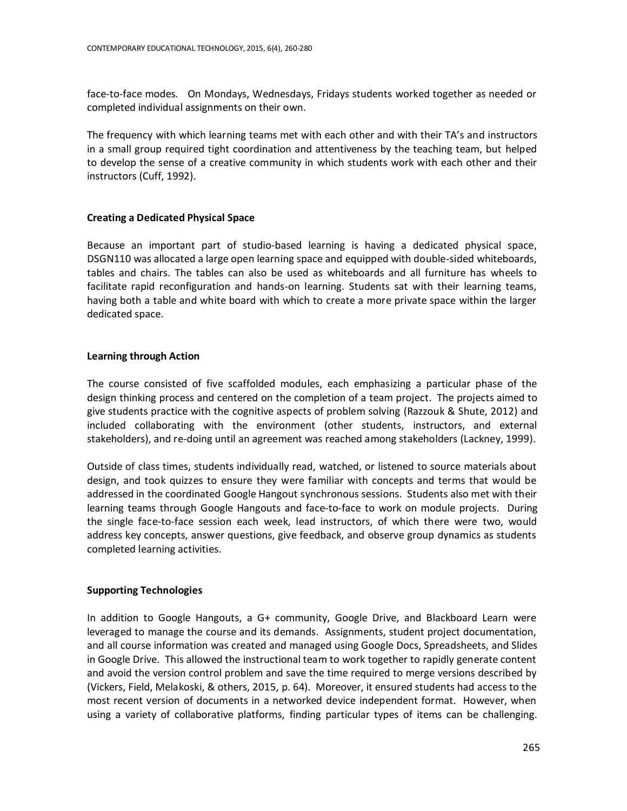face-to-face modes. On Mondays, Wednesdays, Fridays students worked together as needed or completed individual assignments on their own.

The frequency with which learning teams met with each other and with their TA's and instructors in a small group required tight coordination and attentiveness by the teaching team, but helped to develop the sense of a creative community in which students work with each other and their instructors (Cuff, 1992).

## **Creating a Dedicated Physical Space**

Because an important part of studio-based learning is having a dedicated physical space, DSGN110 was allocated a large open learning space and equipped with double-sided whiteboards, tables and chairs. The tables can also be used as whiteboards and all furniture has wheels to facilitate rapid reconfiguration and hands-on learning. Students sat with their learning teams, having both a table and white board with which to create a more private space within the larger dedicated space.

## **Learning through Action**

The course consisted of five scaffolded modules, each emphasizing a particular phase of the design thinking process and centered on the completion of a team project. The projects aimed to give students practice with the cognitive aspects of problem solving (Razzouk & Shute, 2012) and included collaborating with the environment (other students, instructors, and external stakeholders), and re-doing until an agreement was reached among stakeholders (Lackney, 1999).

Outside of class times, students individually read, watched, or listened to source materials about design, and took quizzes to ensure they were familiar with concepts and terms that would be addressed in the coordinated Google Hangout synchronous sessions. Students also met with their learning teams through Google Hangouts and face-to-face to work on module projects. During the single face-to-face session each week, lead instructors, of which there were two, would address key concepts, answer questions, give feedback, and observe group dynamics as students completed learning activities.

## **Supporting Technologies**

In addition to Google Hangouts, a G+ community, Google Drive, and Blackboard Learn were leveraged to manage the course and its demands. Assignments, student project documentation, and all course information was created and managed using Google Docs, Spreadsheets, and Slides in Google Drive. This allowed the instructional team to work together to rapidly generate content and avoid the version control problem and save the time required to merge versions described by (Vickers, Field, Melakoski, & others, 2015, p. 64). Moreover, it ensured students had access to the most recent version of documents in a networked device independent format. However, when using a variety of collaborative platforms, finding particular types of items can be challenging.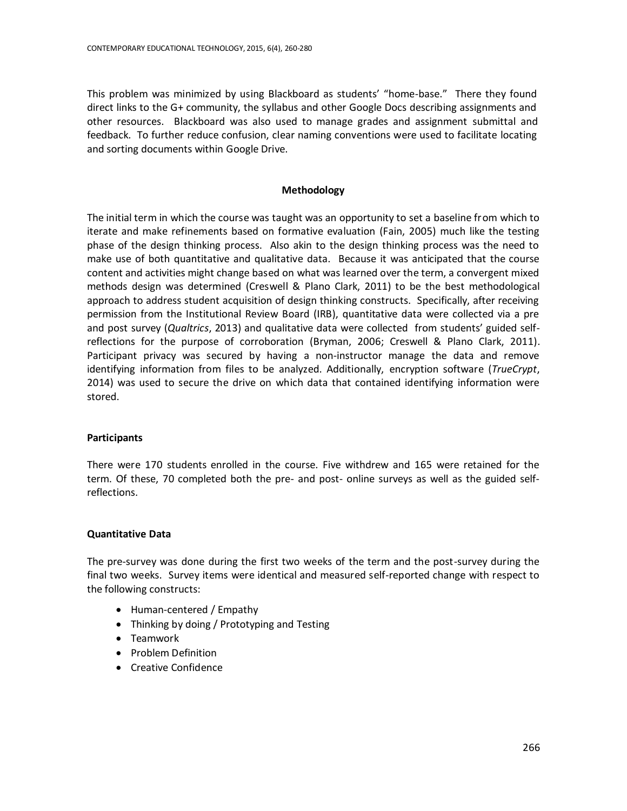This problem was minimized by using Blackboard as students' "home-base." There they found direct links to the G+ community, the syllabus and other Google Docs describing assignments and other resources. Blackboard was also used to manage grades and assignment submittal and feedback. To further reduce confusion, clear naming conventions were used to facilitate locating and sorting documents within Google Drive.

## **Methodology**

The initial term in which the course was taught was an opportunity to set a baseline from which to iterate and make refinements based on formative evaluation (Fain, 2005) much like the testing phase of the design thinking process. Also akin to the design thinking process was the need to make use of both quantitative and qualitative data. Because it was anticipated that the course content and activities might change based on what was learned over the term, a convergent mixed methods design was determined (Creswell & Plano Clark, 2011) to be the best methodological approach to address student acquisition of design thinking constructs. Specifically, after receiving permission from the Institutional Review Board (IRB), quantitative data were collected via a pre and post survey (*Qualtrics*, 2013) and qualitative data were collected from students' guided selfreflections for the purpose of corroboration (Bryman, 2006; Creswell & Plano Clark, 2011). Participant privacy was secured by having a non-instructor manage the data and remove identifying information from files to be analyzed. Additionally, encryption software (*TrueCrypt*, 2014) was used to secure the drive on which data that contained identifying information were stored.

## **Participants**

There were 170 students enrolled in the course. Five withdrew and 165 were retained for the term. Of these, 70 completed both the pre- and post- online surveys as well as the guided selfreflections.

## **Quantitative Data**

The pre-survey was done during the first two weeks of the term and the post-survey during the final two weeks. Survey items were identical and measured self-reported change with respect to the following constructs:

- Human-centered / Empathy
- Thinking by doing / Prototyping and Testing
- Teamwork
- Problem Definition
- Creative Confidence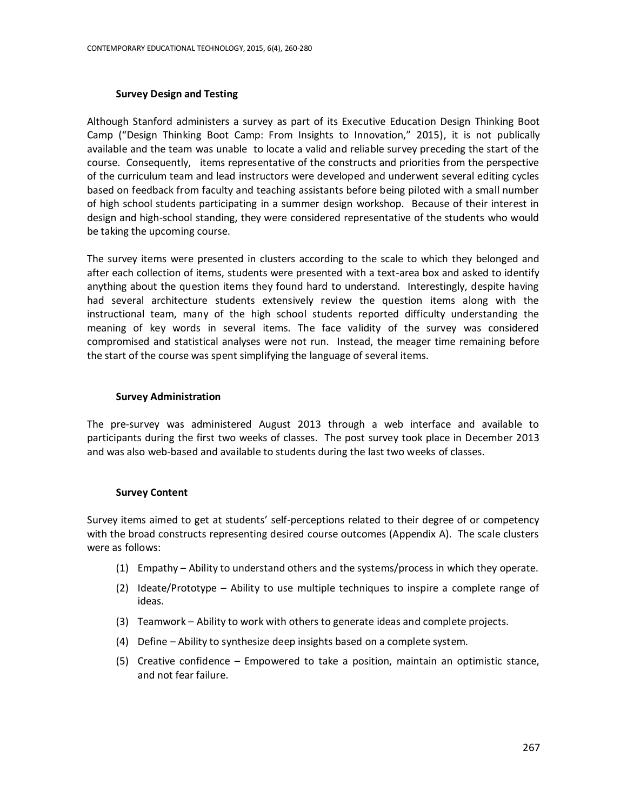## **Survey Design and Testing**

Although Stanford administers a survey as part of its Executive Education Design Thinking Boot Camp ("Design Thinking Boot Camp: From Insights to Innovation," 2015), it is not publically available and the team was unable to locate a valid and reliable survey preceding the start of the course. Consequently, items representative of the constructs and priorities from the perspective of the curriculum team and lead instructors were developed and underwent several editing cycles based on feedback from faculty and teaching assistants before being piloted with a small number of high school students participating in a summer design workshop. Because of their interest in design and high-school standing, they were considered representative of the students who would be taking the upcoming course.

The survey items were presented in clusters according to the scale to which they belonged and after each collection of items, students were presented with a text-area box and asked to identify anything about the question items they found hard to understand. Interestingly, despite having had several architecture students extensively review the question items along with the instructional team, many of the high school students reported difficulty understanding the meaning of key words in several items. The face validity of the survey was considered compromised and statistical analyses were not run. Instead, the meager time remaining before the start of the course was spent simplifying the language of several items.

#### **Survey Administration**

The pre-survey was administered August 2013 through a web interface and available to participants during the first two weeks of classes. The post survey took place in December 2013 and was also web-based and available to students during the last two weeks of classes.

## **Survey Content**

Survey items aimed to get at students' self-perceptions related to their degree of or competency with the broad constructs representing desired course outcomes (Appendix A). The scale clusters were as follows:

- (1) Empathy Ability to understand others and the systems/process in which they operate.
- (2) Ideate/Prototype Ability to use multiple techniques to inspire a complete range of ideas.
- (3) Teamwork Ability to work with others to generate ideas and complete projects.
- (4) Define Ability to synthesize deep insights based on a complete system.
- (5) Creative confidence Empowered to take a position, maintain an optimistic stance, and not fear failure.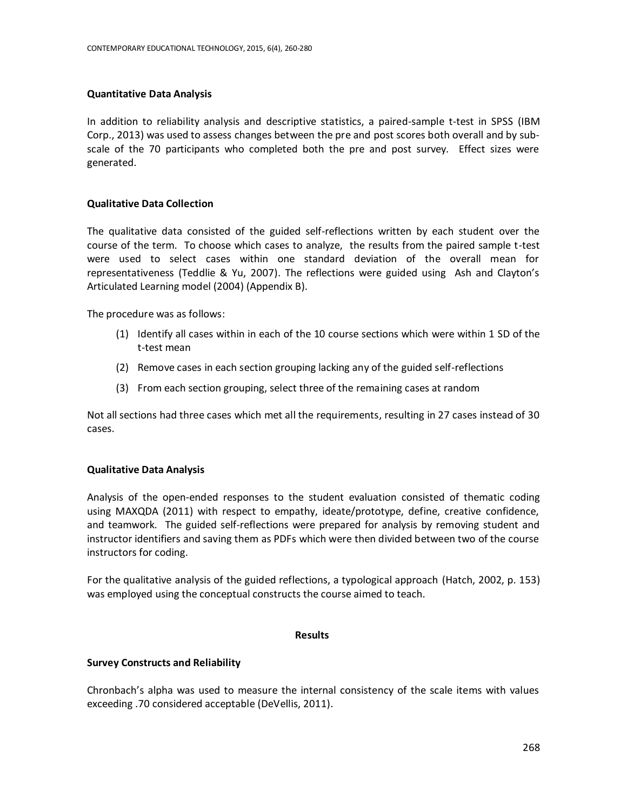## **Quantitative Data Analysis**

In addition to reliability analysis and descriptive statistics, a paired-sample t-test in SPSS (IBM Corp., 2013) was used to assess changes between the pre and post scores both overall and by subscale of the 70 participants who completed both the pre and post survey. Effect sizes were generated.

## **Qualitative Data Collection**

The qualitative data consisted of the guided self-reflections written by each student over the course of the term. To choose which cases to analyze, the results from the paired sample t-test were used to select cases within one standard deviation of the overall mean for representativeness (Teddlie & Yu, 2007). The reflections were guided using Ash and Clayton's Articulated Learning model (2004) (Appendix B).

The procedure was as follows:

- (1) Identify all cases within in each of the 10 course sections which were within 1 SD of the t-test mean
- (2) Remove cases in each section grouping lacking any of the guided self-reflections
- (3) From each section grouping, select three of the remaining cases at random

Not all sections had three cases which met all the requirements, resulting in 27 cases instead of 30 cases.

# **Qualitative Data Analysis**

Analysis of the open-ended responses to the student evaluation consisted of thematic coding using MAXQDA (2011) with respect to empathy, ideate/prototype, define, creative confidence, and teamwork. The guided self-reflections were prepared for analysis by removing student and instructor identifiers and saving them as PDFs which were then divided between two of the course instructors for coding.

For the qualitative analysis of the guided reflections, a typological approach (Hatch, 2002, p. 153) was employed using the conceptual constructs the course aimed to teach.

## **Results**

## **Survey Constructs and Reliability**

Chronbach's alpha was used to measure the internal consistency of the scale items with values exceeding .70 considered acceptable (DeVellis, 2011).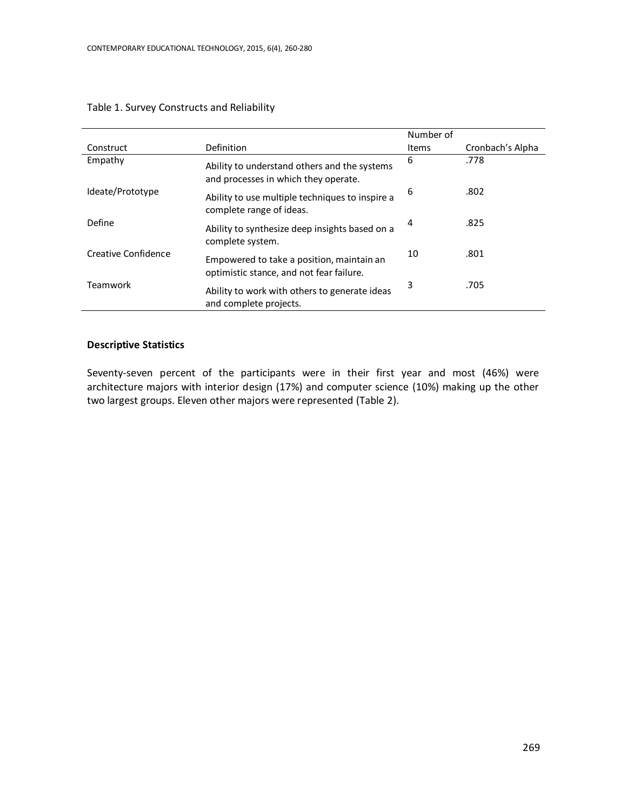|                     |                                                                                       | Number of |                  |  |
|---------------------|---------------------------------------------------------------------------------------|-----------|------------------|--|
| Construct           | Definition                                                                            | Items     | Cronbach's Alpha |  |
| Empathy             | Ability to understand others and the systems<br>and processes in which they operate.  | 6         | .778             |  |
| Ideate/Prototype    | Ability to use multiple techniques to inspire a<br>complete range of ideas.           | 6         | .802             |  |
| Define              | Ability to synthesize deep insights based on a<br>complete system.                    | 4         | .825             |  |
| Creative Confidence | Empowered to take a position, maintain an<br>optimistic stance, and not fear failure. | 10        | .801             |  |
| Teamwork            | Ability to work with others to generate ideas<br>and complete projects.               | 3         | .705             |  |

## Table 1. Survey Constructs and Reliability

## **Descriptive Statistics**

Seventy-seven percent of the participants were in their first year and most (46%) were architecture majors with interior design (17%) and computer science (10%) making up the other two largest groups. Eleven other majors were represented (Table 2).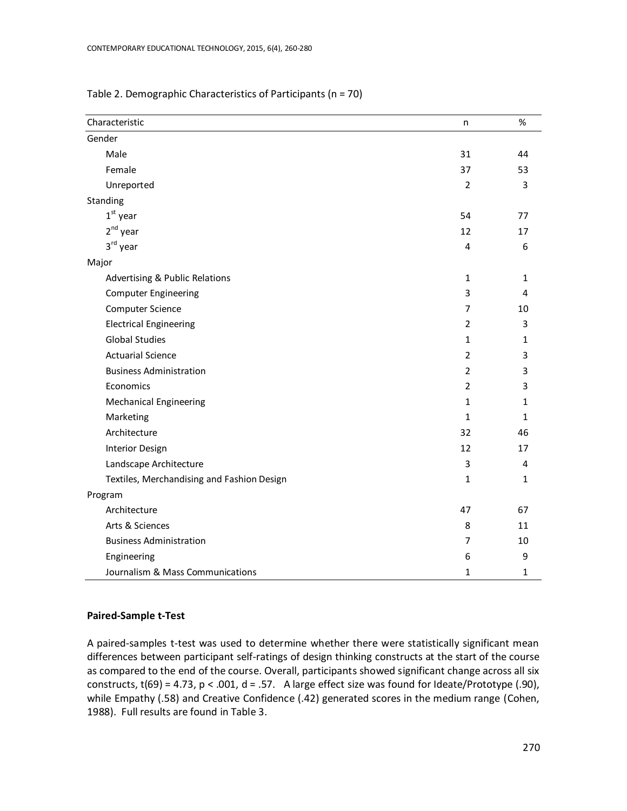| Characteristic                             | n              | $\%$         |
|--------------------------------------------|----------------|--------------|
| Gender                                     |                |              |
| Male                                       | 31             | 44           |
| Female                                     | 37             | 53           |
| Unreported                                 | $\overline{2}$ | 3            |
| Standing                                   |                |              |
| $1st$ year                                 | 54             | 77           |
| $2nd$ year                                 | 12             | 17           |
| 3rd year                                   | 4              | 6            |
| Major                                      |                |              |
| Advertising & Public Relations             | $\mathbf{1}$   | 1            |
| <b>Computer Engineering</b>                | 3              | 4            |
| <b>Computer Science</b>                    | 7              | 10           |
| <b>Electrical Engineering</b>              | $\overline{2}$ | 3            |
| <b>Global Studies</b>                      | $\mathbf{1}$   | $\mathbf{1}$ |
| <b>Actuarial Science</b>                   | $\overline{2}$ | 3            |
| <b>Business Administration</b>             | $\overline{2}$ | 3            |
| Economics                                  | $\overline{2}$ | 3            |
| <b>Mechanical Engineering</b>              | $\mathbf{1}$   | $\mathbf{1}$ |
| Marketing                                  | $\mathbf{1}$   | $\mathbf{1}$ |
| Architecture                               | 32             | 46           |
| Interior Design                            | 12             | 17           |
| Landscape Architecture                     | 3              | 4            |
| Textiles, Merchandising and Fashion Design | $\mathbf{1}$   | 1            |
| Program                                    |                |              |
| Architecture                               | 47             | 67           |
| Arts & Sciences                            | 8              | 11           |
| <b>Business Administration</b>             | 7              | 10           |
| Engineering                                | 6              | 9            |
| Journalism & Mass Communications           | $\mathbf{1}$   | 1            |

## Table 2. Demographic Characteristics of Participants (n = 70)

#### **Paired-Sample t-Test**

A paired-samples t-test was used to determine whether there were statistically significant mean differences between participant self-ratings of design thinking constructs at the start of the course as compared to the end of the course. Overall, participants showed significant change across all six constructs,  $t(69) = 4.73$ ,  $p < .001$ ,  $d = .57$ . A large effect size was found for Ideate/Prototype (.90), while Empathy (.58) and Creative Confidence (.42) generated scores in the medium range (Cohen, 1988). Full results are found in Table 3.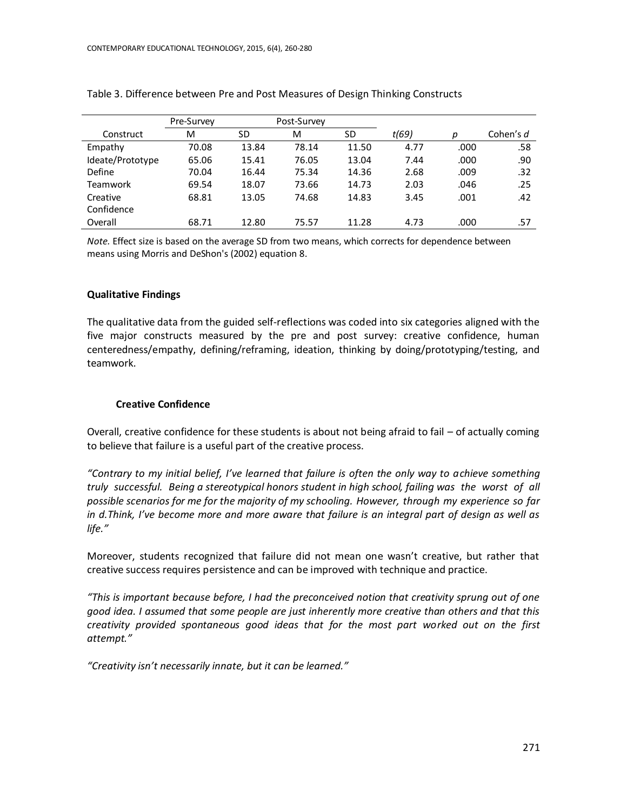|                  | Pre-Survey |       | Post-Survey |       |       |      |           |
|------------------|------------|-------|-------------|-------|-------|------|-----------|
| Construct        | м          | SD    | M           | SD    | t(69) | р    | Cohen's d |
| Empathy          | 70.08      | 13.84 | 78.14       | 11.50 | 4.77  | .000 | .58       |
| Ideate/Prototype | 65.06      | 15.41 | 76.05       | 13.04 | 7.44  | .000 | .90       |
| Define           | 70.04      | 16.44 | 75.34       | 14.36 | 2.68  | .009 | .32       |
| Teamwork         | 69.54      | 18.07 | 73.66       | 14.73 | 2.03  | .046 | .25       |
| Creative         | 68.81      | 13.05 | 74.68       | 14.83 | 3.45  | .001 | .42       |
| Confidence       |            |       |             |       |       |      |           |
| Overall          | 68.71      | 12.80 | 75.57       | 11.28 | 4.73  | .000 | .57       |

#### Table 3. Difference between Pre and Post Measures of Design Thinking Constructs

*Note.* Effect size is based on the average SD from two means, which corrects for dependence between means using Morris and DeShon's (2002) equation 8.

## **Qualitative Findings**

The qualitative data from the guided self-reflections was coded into six categories aligned with the five major constructs measured by the pre and post survey: creative confidence, human centeredness/empathy, defining/reframing, ideation, thinking by doing/prototyping/testing, and teamwork.

## **Creative Confidence**

Overall, creative confidence for these students is about not being afraid to fail – of actually coming to believe that failure is a useful part of the creative process.

*"Contrary to my initial belief, I've learned that failure is often the only way to achieve something truly successful. Being a stereotypical honors student in high school, failing was the worst of all possible scenarios for me for the majority of my schooling. However, through my experience so far in d.Think, I've become more and more aware that failure is an integral part of design as well as life."*

Moreover, students recognized that failure did not mean one wasn't creative, but rather that creative success requires persistence and can be improved with technique and practice.

*"This is important because before, I had the preconceived notion that creativity sprung out of one good idea. I assumed that some people are just inherently more creative than others and that this creativity provided spontaneous good ideas that for the most part worked out on the first attempt."*

*"Creativity isn't necessarily innate, but it can be learned."*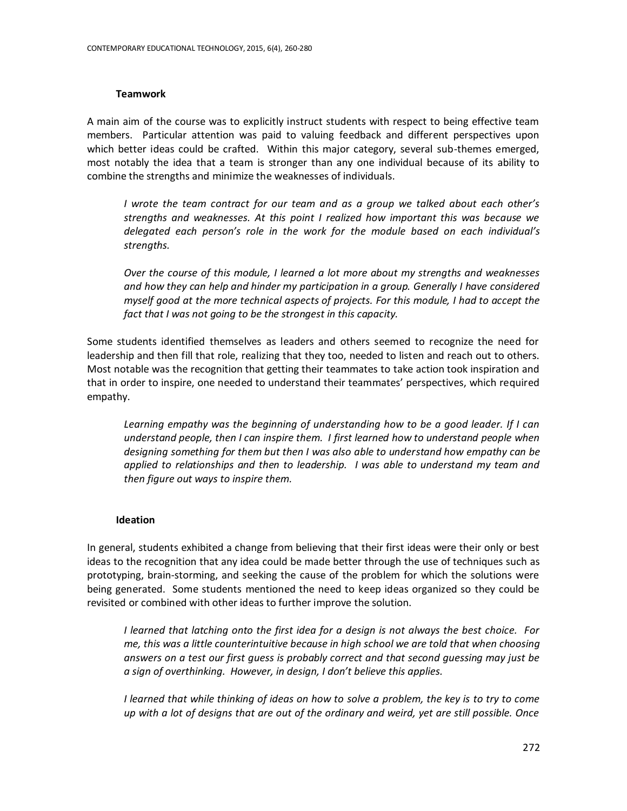## **Teamwork**

A main aim of the course was to explicitly instruct students with respect to being effective team members. Particular attention was paid to valuing feedback and different perspectives upon which better ideas could be crafted. Within this major category, several sub-themes emerged, most notably the idea that a team is stronger than any one individual because of its ability to combine the strengths and minimize the weaknesses of individuals.

*I wrote the team contract for our team and as a group we talked about each other's strengths and weaknesses. At this point I realized how important this was because we delegated each person's role in the work for the module based on each individual's strengths.*

*Over the course of this module, I learned a lot more about my strengths and weaknesses and how they can help and hinder my participation in a group. Generally I have considered myself good at the more technical aspects of projects. For this module, I had to accept the fact that I was not going to be the strongest in this capacity.*

Some students identified themselves as leaders and others seemed to recognize the need for leadership and then fill that role, realizing that they too, needed to listen and reach out to others. Most notable was the recognition that getting their teammates to take action took inspiration and that in order to inspire, one needed to understand their teammates' perspectives, which required empathy.

*Learning empathy was the beginning of understanding how to be a good leader. If I can understand people, then I can inspire them. I first learned how to understand people when designing something for them but then I was also able to understand how empathy can be applied to relationships and then to leadership. I was able to understand my team and then figure out ways to inspire them.*

## **Ideation**

In general, students exhibited a change from believing that their first ideas were their only or best ideas to the recognition that any idea could be made better through the use of techniques such as prototyping, brain-storming, and seeking the cause of the problem for which the solutions were being generated. Some students mentioned the need to keep ideas organized so they could be revisited or combined with other ideas to further improve the solution.

*I learned that latching onto the first idea for a design is not always the best choice. For me, this was a little counterintuitive because in high school we are told that when choosing answers on a test our first guess is probably correct and that second guessing may just be a sign of overthinking. However, in design, I don't believe this applies.*

*I learned that while thinking of ideas on how to solve a problem, the key is to try to come up with a lot of designs that are out of the ordinary and weird, yet are still possible. Once*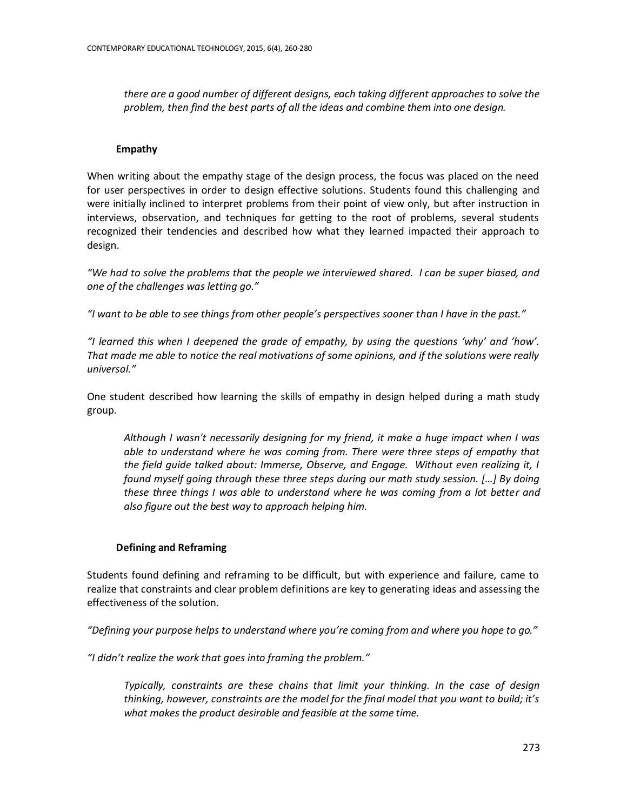*there are a good number of different designs, each taking different approaches to solve the problem, then find the best parts of all the ideas and combine them into one design.*

## **Empathy**

When writing about the empathy stage of the design process, the focus was placed on the need for user perspectives in order to design effective solutions. Students found this challenging and were initially inclined to interpret problems from their point of view only, but after instruction in interviews, observation, and techniques for getting to the root of problems, several students recognized their tendencies and described how what they learned impacted their approach to design.

*"We had to solve the problems that the people we interviewed shared. I can be super biased, and one of the challenges was letting go."*

*"I want to be able to see things from other people's perspectives sooner than I have in the past."* 

*"I learned this when I deepened the grade of empathy, by using the questions 'why' and 'how'. That made me able to notice the real motivations of some opinions, and if the solutions were really universal."*

One student described how learning the skills of empathy in design helped during a math study group.

*Although I wasn't necessarily designing for my friend, it make a huge impact when I was able to understand where he was coming from. There were three steps of empathy that the field guide talked about: Immerse, Observe, and Engage. Without even realizing it, I found myself going through these three steps during our math study session. […] By doing these three things I was able to understand where he was coming from a lot better and also figure out the best way to approach helping him.*

# **Defining and Reframing**

Students found defining and reframing to be difficult, but with experience and failure, came to realize that constraints and clear problem definitions are key to generating ideas and assessing the effectiveness of the solution.

*"Defining your purpose helps to understand where you're coming from and where you hope to go."*

*"I didn't realize the work that goes into framing the problem."*

*Typically, constraints are these chains that limit your thinking. In the case of design thinking, however, constraints are the model for the final model that you want to build; it's what makes the product desirable and feasible at the same time.*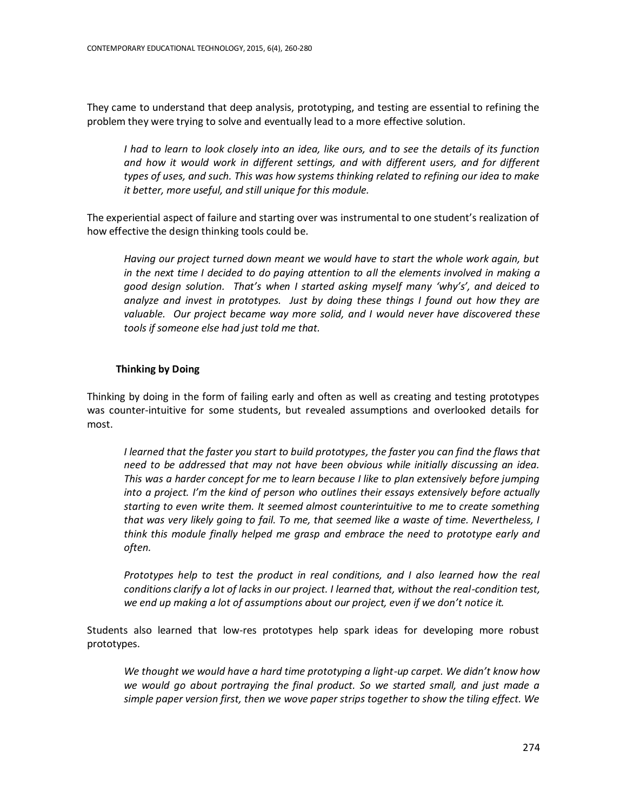They came to understand that deep analysis, prototyping, and testing are essential to refining the problem they were trying to solve and eventually lead to a more effective solution.

*I had to learn to look closely into an idea, like ours, and to see the details of its function and how it would work in different settings, and with different users, and for different types of uses, and such. This was how systems thinking related to refining our idea to make it better, more useful, and still unique for this module.*

The experiential aspect of failure and starting over was instrumental to one student's realization of how effective the design thinking tools could be.

*Having our project turned down meant we would have to start the whole work again, but in the next time I decided to do paying attention to all the elements involved in making a good design solution. That's when I started asking myself many 'why's', and deiced to analyze and invest in prototypes. Just by doing these things I found out how they are valuable. Our project became way more solid, and I would never have discovered these tools if someone else had just told me that.* 

## **Thinking by Doing**

Thinking by doing in the form of failing early and often as well as creating and testing prototypes was counter-intuitive for some students, but revealed assumptions and overlooked details for most.

*I learned that the faster you start to build prototypes, the faster you can find the flaws that need to be addressed that may not have been obvious while initially discussing an idea. This was a harder concept for me to learn because I like to plan extensively before jumping into a project. I'm the kind of person who outlines their essays extensively before actually starting to even write them. It seemed almost counterintuitive to me to create something that was very likely going to fail. To me, that seemed like a waste of time. Nevertheless, I think this module finally helped me grasp and embrace the need to prototype early and often.*

*Prototypes help to test the product in real conditions, and I also learned how the real conditions clarify a lot of lacks in our project. I learned that, without the real-condition test, we end up making a lot of assumptions about our project, even if we don't notice it.*

Students also learned that low-res prototypes help spark ideas for developing more robust prototypes.

*We thought we would have a hard time prototyping a light-up carpet. We didn't know how we would go about portraying the final product. So we started small, and just made a simple paper version first, then we wove paper strips together to show the tiling effect. We*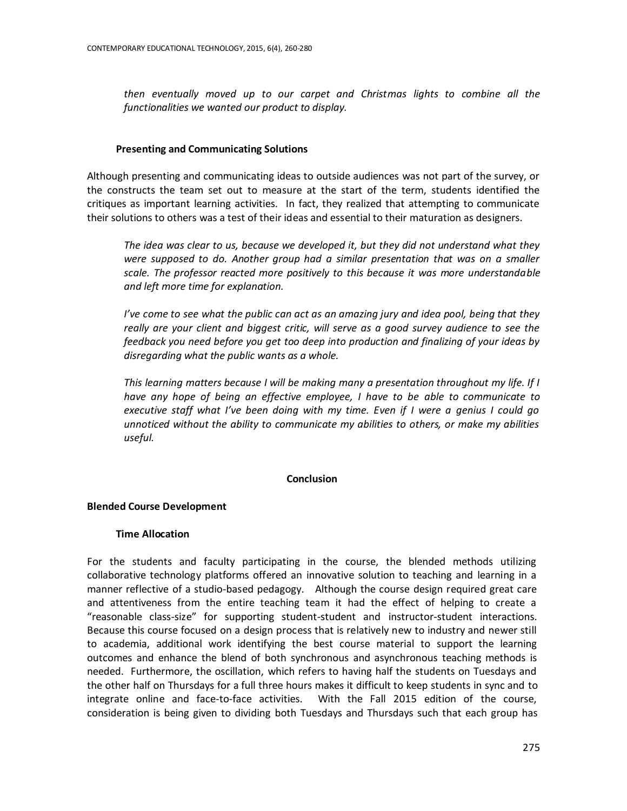*then eventually moved up to our carpet and Christmas lights to combine all the functionalities we wanted our product to display.*

## **Presenting and Communicating Solutions**

Although presenting and communicating ideas to outside audiences was not part of the survey, or the constructs the team set out to measure at the start of the term, students identified the critiques as important learning activities. In fact, they realized that attempting to communicate their solutions to others was a test of their ideas and essential to their maturation as designers.

*The idea was clear to us, because we developed it, but they did not understand what they were supposed to do. Another group had a similar presentation that was on a smaller scale. The professor reacted more positively to this because it was more understandable and left more time for explanation.*

*I've come to see what the public can act as an amazing jury and idea pool, being that they really are your client and biggest critic, will serve as a good survey audience to see the feedback you need before you get too deep into production and finalizing of your ideas by disregarding what the public wants as a whole.*

*This learning matters because I will be making many a presentation throughout my life. If I have any hope of being an effective employee, I have to be able to communicate to executive staff what I've been doing with my time. Even if I were a genius I could go unnoticed without the ability to communicate my abilities to others, or make my abilities useful.*

## **Conclusion**

# **Blended Course Development**

## **Time Allocation**

For the students and faculty participating in the course, the blended methods utilizing collaborative technology platforms offered an innovative solution to teaching and learning in a manner reflective of a studio-based pedagogy. Although the course design required great care and attentiveness from the entire teaching team it had the effect of helping to create a "reasonable class-size" for supporting student-student and instructor-student interactions. Because this course focused on a design process that is relatively new to industry and newer still to academia, additional work identifying the best course material to support the learning outcomes and enhance the blend of both synchronous and asynchronous teaching methods is needed. Furthermore, the oscillation, which refers to having half the students on Tuesdays and the other half on Thursdays for a full three hours makes it difficult to keep students in sync and to integrate online and face-to-face activities. With the Fall 2015 edition of the course, consideration is being given to dividing both Tuesdays and Thursdays such that each group has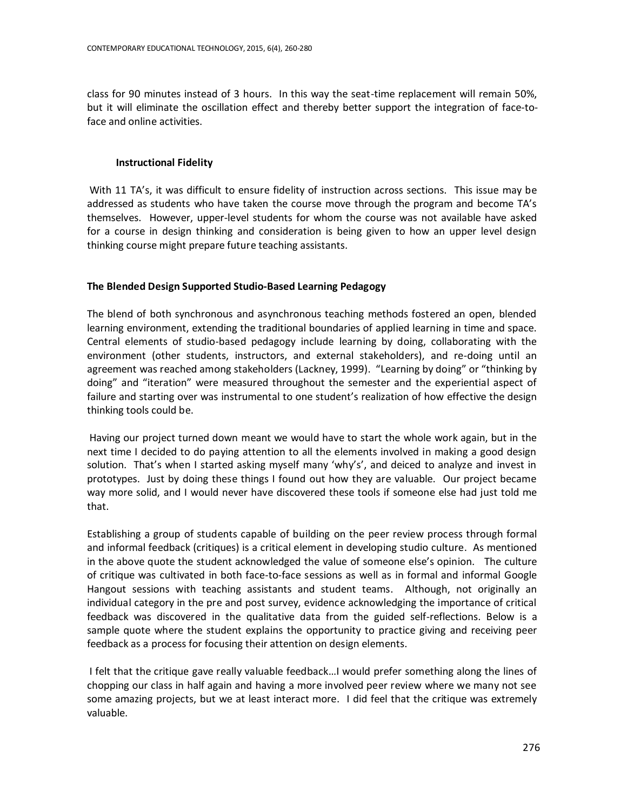class for 90 minutes instead of 3 hours. In this way the seat-time replacement will remain 50%, but it will eliminate the oscillation effect and thereby better support the integration of face-toface and online activities.

## **Instructional Fidelity**

With 11 TA's, it was difficult to ensure fidelity of instruction across sections. This issue may be addressed as students who have taken the course move through the program and become TA's themselves. However, upper-level students for whom the course was not available have asked for a course in design thinking and consideration is being given to how an upper level design thinking course might prepare future teaching assistants.

# **The Blended Design Supported Studio-Based Learning Pedagogy**

The blend of both synchronous and asynchronous teaching methods fostered an open, blended learning environment, extending the traditional boundaries of applied learning in time and space. Central elements of studio-based pedagogy include learning by doing, collaborating with the environment (other students, instructors, and external stakeholders), and re-doing until an agreement was reached among stakeholders (Lackney, 1999). "Learning by doing" or "thinking by doing" and "iteration" were measured throughout the semester and the experiential aspect of failure and starting over was instrumental to one student's realization of how effective the design thinking tools could be.

Having our project turned down meant we would have to start the whole work again, but in the next time I decided to do paying attention to all the elements involved in making a good design solution. That's when I started asking myself many 'why's', and deiced to analyze and invest in prototypes. Just by doing these things I found out how they are valuable. Our project became way more solid, and I would never have discovered these tools if someone else had just told me that.

Establishing a group of students capable of building on the peer review process through formal and informal feedback (critiques) is a critical element in developing studio culture. As mentioned in the above quote the student acknowledged the value of someone else's opinion. The culture of critique was cultivated in both face-to-face sessions as well as in formal and informal Google Hangout sessions with teaching assistants and student teams. Although, not originally an individual category in the pre and post survey, evidence acknowledging the importance of critical feedback was discovered in the qualitative data from the guided self-reflections. Below is a sample quote where the student explains the opportunity to practice giving and receiving peer feedback as a process for focusing their attention on design elements.

I felt that the critique gave really valuable feedback…I would prefer something along the lines of chopping our class in half again and having a more involved peer review where we many not see some amazing projects, but we at least interact more. I did feel that the critique was extremely valuable.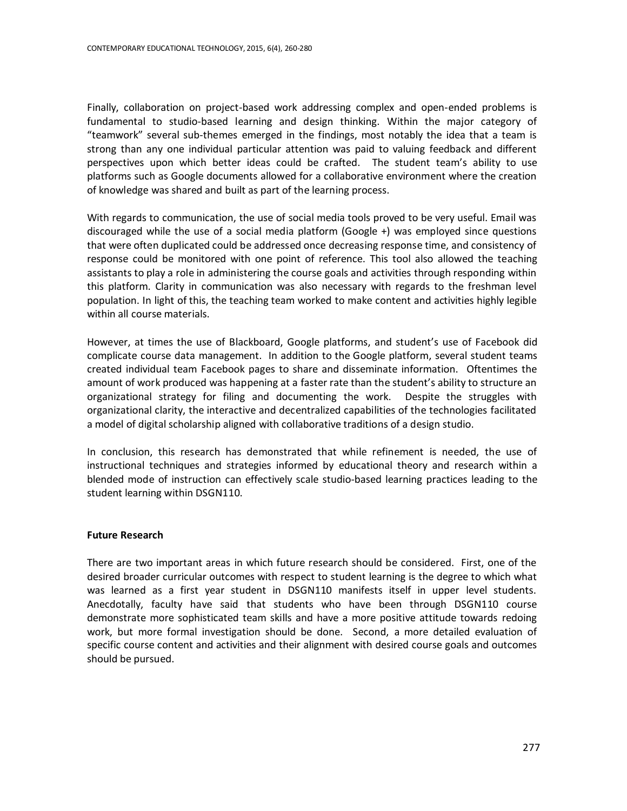Finally, collaboration on project-based work addressing complex and open-ended problems is fundamental to studio-based learning and design thinking. Within the major category of "teamwork" several sub-themes emerged in the findings, most notably the idea that a team is strong than any one individual particular attention was paid to valuing feedback and different perspectives upon which better ideas could be crafted. The student team's ability to use platforms such as Google documents allowed for a collaborative environment where the creation of knowledge was shared and built as part of the learning process.

With regards to communication, the use of social media tools proved to be very useful. Email was discouraged while the use of a social media platform (Google +) was employed since questions that were often duplicated could be addressed once decreasing response time, and consistency of response could be monitored with one point of reference. This tool also allowed the teaching assistants to play a role in administering the course goals and activities through responding within this platform. Clarity in communication was also necessary with regards to the freshman level population. In light of this, the teaching team worked to make content and activities highly legible within all course materials.

However, at times the use of Blackboard, Google platforms, and student's use of Facebook did complicate course data management. In addition to the Google platform, several student teams created individual team Facebook pages to share and disseminate information. Oftentimes the amount of work produced was happening at a faster rate than the student's ability to structure an organizational strategy for filing and documenting the work. Despite the struggles with organizational clarity, the interactive and decentralized capabilities of the technologies facilitated a model of digital scholarship aligned with collaborative traditions of a design studio.

In conclusion, this research has demonstrated that while refinement is needed, the use of instructional techniques and strategies informed by educational theory and research within a blended mode of instruction can effectively scale studio-based learning practices leading to the student learning within DSGN110.

#### **Future Research**

There are two important areas in which future research should be considered. First, one of the desired broader curricular outcomes with respect to student learning is the degree to which what was learned as a first year student in DSGN110 manifests itself in upper level students. Anecdotally, faculty have said that students who have been through DSGN110 course demonstrate more sophisticated team skills and have a more positive attitude towards redoing work, but more formal investigation should be done. Second, a more detailed evaluation of specific course content and activities and their alignment with desired course goals and outcomes should be pursued.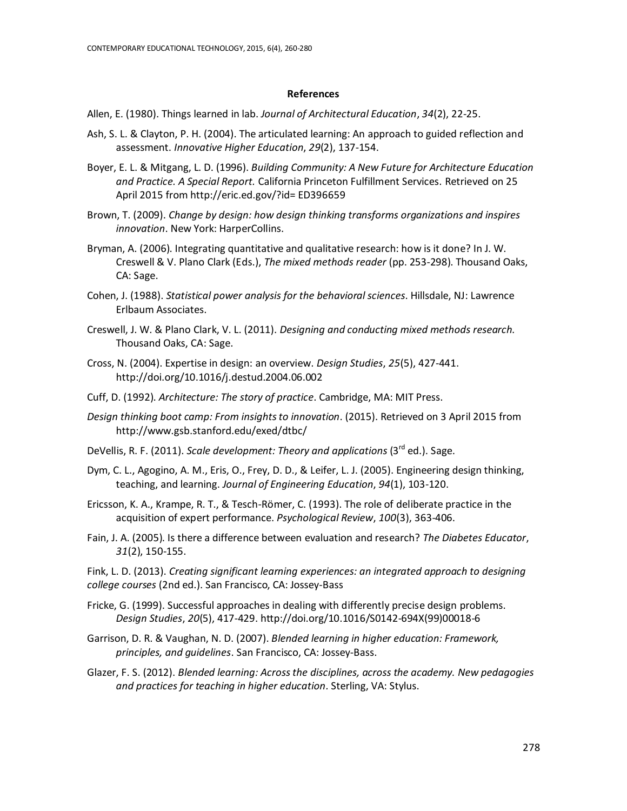#### **References**

Allen, E. (1980). Things learned in lab. *Journal of Architectural Education*, *34*(2), 22-25.

- Ash, S. L. & Clayton, P. H. (2004). The articulated learning: An approach to guided reflection and assessment. *Innovative Higher Education*, *29*(2), 137-154.
- Boyer, E. L. & Mitgang, L. D. (1996). *Building Community: A New Future for Architecture Education and Practice. A Special Report.* California Princeton Fulfillment Services. Retrieved on 25 April 2015 from http://eric.ed.gov/?id= ED396659
- Brown, T. (2009). *Change by design: how design thinking transforms organizations and inspires innovation*. New York: HarperCollins.
- Bryman, A. (2006). Integrating quantitative and qualitative research: how is it done? In J. W. Creswell & V. Plano Clark (Eds.), *The mixed methods reader* (pp. 253-298). Thousand Oaks, CA: Sage.
- Cohen, J. (1988). *Statistical power analysis for the behavioral sciences*. Hillsdale, NJ: Lawrence Erlbaum Associates.
- Creswell, J. W. & Plano Clark, V. L. (2011). *Designing and conducting mixed methods research*. Thousand Oaks, CA: Sage.
- Cross, N. (2004). Expertise in design: an overview. *Design Studies*, *25*(5), 427-441. http://doi.org/10.1016/j.destud.2004.06.002
- Cuff, D. (1992). *Architecture: The story of practice*. Cambridge, MA: MIT Press.
- *Design thinking boot camp: From insights to innovation*. (2015). Retrieved on 3 April 2015 from http://www.gsb.stanford.edu/exed/dtbc/
- DeVellis, R. F. (2011). Scale development: Theory and applications (3<sup>rd</sup> ed.). Sage.
- Dym, C. L., Agogino, A. M., Eris, O., Frey, D. D., & Leifer, L. J. (2005). Engineering design thinking, teaching, and learning. *Journal of Engineering Education*, *94*(1), 103-120.
- Ericsson, K. A., Krampe, R. T., & Tesch-Römer, C. (1993). The role of deliberate practice in the acquisition of expert performance. *Psychological Review*, *100*(3), 363-406.
- Fain, J. A. (2005). Is there a difference between evaluation and research? *The Diabetes Educator*, *31*(2), 150-155.

Fink, L. D. (2013). *Creating significant learning experiences: an integrated approach to designing college courses* (2nd ed.). San Francisco, CA: Jossey-Bass

- Fricke, G. (1999). Successful approaches in dealing with differently precise design problems. *Design Studies*, *20*(5), 417-429. http://doi.org/10.1016/S0142-694X(99)00018-6
- Garrison, D. R. & Vaughan, N. D. (2007). *Blended learning in higher education: Framework, principles, and guidelines*. San Francisco, CA: Jossey-Bass.
- Glazer, F. S. (2012). *Blended learning: Across the disciplines, across the academy. New pedagogies and practices for teaching in higher education.* Sterling, VA: Stylus.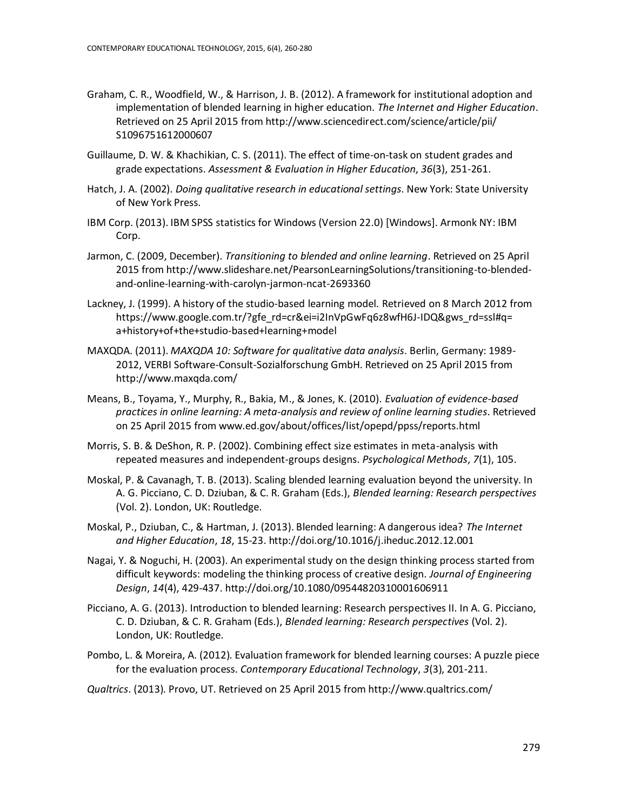- Graham, C. R., Woodfield, W., & Harrison, J. B. (2012). A framework for institutional adoption and implementation of blended learning in higher education. *The Internet and Higher Education*. Retrieved on 25 April 2015 from http://www.sciencedirect.com/science/article/pii/ S1096751612000607
- Guillaume, D. W. & Khachikian, C. S. (2011). The effect of time-on-task on student grades and grade expectations. *Assessment & Evaluation in Higher Education*, *36*(3), 251-261.
- Hatch, J. A. (2002). *Doing qualitative research in educational settings*. New York: State University of New York Press.
- IBM Corp. (2013). IBM SPSS statistics for Windows (Version 22.0) [Windows]. Armonk NY: IBM Corp.
- Jarmon, C. (2009, December). *Transitioning to blended and online learning*. Retrieved on 25 April 2015 from http://www.slideshare.net/PearsonLearningSolutions/transitioning-to-blendedand-online-learning-with-carolyn-jarmon-ncat-2693360
- Lackney, J. (1999). A history of the studio-based learning model. Retrieved on 8 March 2012 from https://www.google.com.tr/?gfe\_rd=cr&ei=i2InVpGwFq6z8wfH6J-IDQ&gws\_rd=ssl#q= a+history+of+the+studio-based+learning+model
- MAXQDA. (2011). *MAXQDA 10: Software for qualitative data analysis*. Berlin, Germany: 1989- 2012, VERBI Software-Consult-Sozialforschung GmbH. Retrieved on 25 April 2015 from http://www.maxqda.com/
- Means, B., Toyama, Y., Murphy, R., Bakia, M., & Jones, K. (2010). *Evaluation of evidence-based practices in online learning: A meta-analysis and review of online learning studies*. Retrieved on 25 April 2015 from www.ed.gov/about/offices/list/opepd/ppss/reports.html
- Morris, S. B. & DeShon, R. P. (2002). Combining effect size estimates in meta-analysis with repeated measures and independent-groups designs. *Psychological Methods*, *7*(1), 105.
- Moskal, P. & Cavanagh, T. B. (2013). Scaling blended learning evaluation beyond the university. In A. G. Picciano, C. D. Dziuban, & C. R. Graham (Eds.), *Blended learning: Research perspectives* (Vol. 2). London, UK: Routledge.
- Moskal, P., Dziuban, C., & Hartman, J. (2013). Blended learning: A dangerous idea? *The Internet and Higher Education*, *18*, 15-23. http://doi.org/10.1016/j.iheduc.2012.12.001
- Nagai, Y. & Noguchi, H. (2003). An experimental study on the design thinking process started from difficult keywords: modeling the thinking process of creative design. *Journal of Engineering Design*, *14*(4), 429-437. http://doi.org/10.1080/09544820310001606911
- Picciano, A. G. (2013). Introduction to blended learning: Research perspectives II. In A. G. Picciano, C. D. Dziuban, & C. R. Graham (Eds.), *Blended learning: Research perspectives* (Vol. 2). London, UK: Routledge.
- Pombo, L. & Moreira, A. (2012). Evaluation framework for blended learning courses: A puzzle piece for the evaluation process. *Contemporary Educational Technology*, *3*(3), 201-211.
- *Qualtrics*. (2013). Provo, UT. Retrieved on 25 April 2015 from http://www.qualtrics.com/